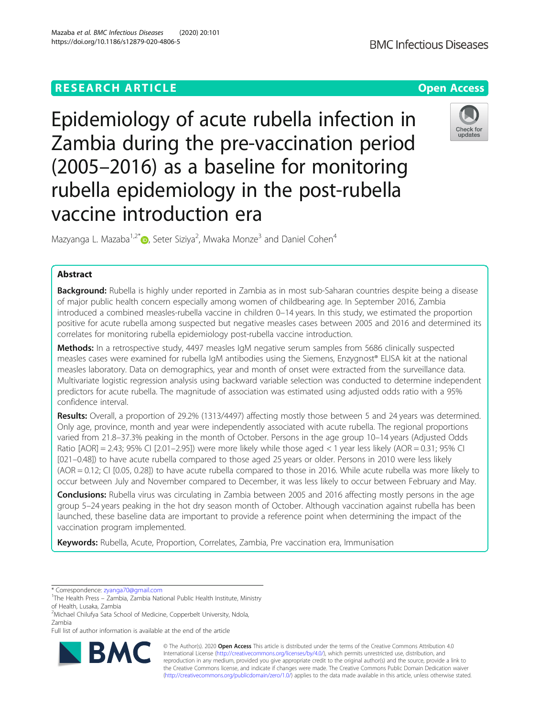# **RESEARCH ARTICLE Example 2014 12:30 The Contract of Contract ACCESS**

Epidemiology of acute rubella infection in Zambia during the pre-vaccination period (2005–2016) as a baseline for monitoring rubella epidemiology in the post-rubella vaccine introduction era

Mazyanga L. Mazaba<sup>1,2[\\*](http://orcid.org/0000-0002-5465-5710)</sup>៊●, Seter Siziya<sup>2</sup>, Mwaka Monze<sup>3</sup> and Daniel Cohen<sup>4</sup>

# Abstract

Background: Rubella is highly under reported in Zambia as in most sub-Saharan countries despite being a disease of major public health concern especially among women of childbearing age. In September 2016, Zambia introduced a combined measles-rubella vaccine in children 0–14 years. In this study, we estimated the proportion positive for acute rubella among suspected but negative measles cases between 2005 and 2016 and determined its correlates for monitoring rubella epidemiology post-rubella vaccine introduction.

Methods: In a retrospective study, 4497 measles IgM negative serum samples from 5686 clinically suspected measles cases were examined for rubella IgM antibodies using the Siemens, Enzygnost® ELISA kit at the national measles laboratory. Data on demographics, year and month of onset were extracted from the surveillance data. Multivariate logistic regression analysis using backward variable selection was conducted to determine independent predictors for acute rubella. The magnitude of association was estimated using adjusted odds ratio with a 95% confidence interval.

Results: Overall, a proportion of 29.2% (1313/4497) affecting mostly those between 5 and 24 years was determined. Only age, province, month and year were independently associated with acute rubella. The regional proportions varied from 21.8–37.3% peaking in the month of October. Persons in the age group 10–14 years (Adjusted Odds Ratio [AOR] = 2.43; 95% CI [2.01–2.95]) were more likely while those aged < 1 year less likely (AOR = 0.31; 95% CI [021–0.48]) to have acute rubella compared to those aged 25 years or older. Persons in 2010 were less likely (AOR = 0.12; CI [0.05, 0.28]) to have acute rubella compared to those in 2016. While acute rubella was more likely to occur between July and November compared to December, it was less likely to occur between February and May.

Conclusions: Rubella virus was circulating in Zambia between 2005 and 2016 affecting mostly persons in the age group 5–24 years peaking in the hot dry season month of October. Although vaccination against rubella has been launched, these baseline data are important to provide a reference point when determining the impact of the vaccination program implemented.

Keywords: Rubella, Acute, Proportion, Correlates, Zambia, Pre vaccination era, Immunisation







© The Author(s). 2020 **Open Access** This article is distributed under the terms of the Creative Commons Attribution 4.0 International License [\(http://creativecommons.org/licenses/by/4.0/](http://creativecommons.org/licenses/by/4.0/)), which permits unrestricted use, distribution, and reproduction in any medium, provided you give appropriate credit to the original author(s) and the source, provide a link to the Creative Commons license, and indicate if changes were made. The Creative Commons Public Domain Dedication waiver [\(http://creativecommons.org/publicdomain/zero/1.0/](http://creativecommons.org/publicdomain/zero/1.0/)) applies to the data made available in this article, unless otherwise stated.

<sup>\*</sup> Correspondence: [zyanga70@gmail.com](mailto:zyanga70@gmail.com) <sup>1</sup>

<sup>&</sup>lt;sup>1</sup>The Health Press – Zambia, Zambia National Public Health Institute, Ministry of Health, Lusaka, Zambia

<sup>&</sup>lt;sup>2</sup>Michael Chilufya Sata School of Medicine, Copperbelt University, Ndola, Zambia

Full list of author information is available at the end of the article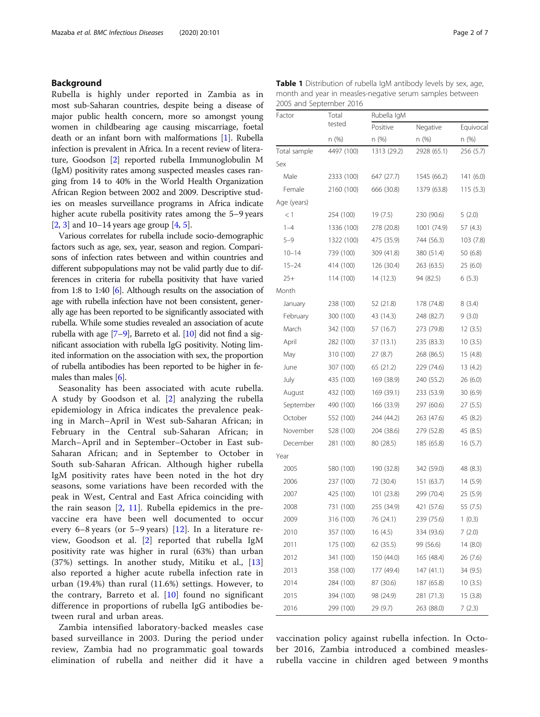# <span id="page-1-0"></span>Background

Rubella is highly under reported in Zambia as in most sub-Saharan countries, despite being a disease of major public health concern, more so amongst young women in childbearing age causing miscarriage, foetal death or an infant born with malformations [[1](#page-6-0)]. Rubella infection is prevalent in Africa. In a recent review of literature, Goodson [\[2](#page-6-0)] reported rubella Immunoglobulin M (IgM) positivity rates among suspected measles cases ranging from 14 to 40% in the World Health Organization African Region between 2002 and 2009. Descriptive studies on measles surveillance programs in Africa indicate higher acute rubella positivity rates among the 5–9 years  $[2, 3]$  $[2, 3]$  $[2, 3]$  $[2, 3]$  $[2, 3]$  and 10–14 years age group  $[4, 5]$  $[4, 5]$  $[4, 5]$ .

Various correlates for rubella include socio-demographic factors such as age, sex, year, season and region. Comparisons of infection rates between and within countries and different subpopulations may not be valid partly due to differences in criteria for rubella positivity that have varied from 1:8 to 1:40 [[6\]](#page-6-0). Although results on the association of age with rubella infection have not been consistent, generally age has been reported to be significantly associated with rubella. While some studies revealed an association of acute rubella with age [\[7](#page-6-0)–[9](#page-6-0)], Barreto et al. [\[10\]](#page-6-0) did not find a significant association with rubella IgG positivity. Noting limited information on the association with sex, the proportion of rubella antibodies has been reported to be higher in females than males [\[6\]](#page-6-0).

Seasonality has been associated with acute rubella. A study by Goodson et al. [[2\]](#page-6-0) analyzing the rubella epidemiology in Africa indicates the prevalence peaking in March–April in West sub-Saharan African; in February in the Central sub-Saharan African; in March–April and in September–October in East sub-Saharan African; and in September to October in South sub-Saharan African. Although higher rubella IgM positivity rates have been noted in the hot dry seasons, some variations have been recorded with the peak in West, Central and East Africa coinciding with the rain season  $[2, 11]$  $[2, 11]$  $[2, 11]$ . Rubella epidemics in the prevaccine era have been well documented to occur every 6–8 years (or 5–9 years) [\[12\]](#page-6-0). In a literature review, Goodson et al. [[2\]](#page-6-0) reported that rubella IgM positivity rate was higher in rural (63%) than urban (37%) settings. In another study, Mitiku et al., [\[13](#page-6-0)] also reported a higher acute rubella infection rate in urban (19.4%) than rural (11.6%) settings. However, to the contrary, Barreto et al. [[10](#page-6-0)] found no significant difference in proportions of rubella IgG antibodies between rural and urban areas.

Zambia intensified laboratory-backed measles case based surveillance in 2003. During the period under review, Zambia had no programmatic goal towards elimination of rubella and neither did it have a

Table 1 Distribution of rubella IgM antibody levels by sex, age, month and year in measles-negative serum samples between 2005 and September 2016

| Factor       | Total<br>tested<br>n (%) | Rubella IgM |                   |                    |
|--------------|--------------------------|-------------|-------------------|--------------------|
|              |                          | Positive    | Negative<br>n (%) | Equivocal<br>n (%) |
|              |                          | n (%)       |                   |                    |
| Total sample | 4497 (100)               | 1313 (29.2) | 2928 (65.1)       | 256 (5.7)          |
| Sex          |                          |             |                   |                    |
| Male         | 2333 (100)               | 647 (27.7)  | 1545 (66.2)       | 141 (6.0)          |
| Female       | 2160 (100)               | 666 (30.8)  | 1379 (63.8)       | 115(5.3)           |
| Age (years)  |                          |             |                   |                    |
| < 1          | 254 (100)                | 19(7.5)     | 230 (90.6)        | 5(2.0)             |
| $1 - 4$      | 1336 (100)               | 278 (20.8)  | 1001 (74.9)       | 57 (4.3)           |
| $5 - 9$      | 1322 (100)               | 475 (35.9)  | 744 (56.3)        | 103 (7.8)          |
| $10 - 14$    | 739 (100)                | 309 (41.8)  | 380 (51.4)        | 50 (6.8)           |
| $15 - 24$    | 414 (100)                | 126 (30.4)  | 263 (63.5)        | 25(6.0)            |
| $25+$        | 114 (100)                | 14 (12.3)   | 94 (82.5)         | 6(5.3)             |
| Month        |                          |             |                   |                    |
| January      | 238 (100)                | 52 (21.8)   | 178 (74.8)        | 8(3.4)             |
| February     | 300 (100)                | 43 (14.3)   | 248 (82.7)        | 9(3.0)             |
| March        | 342 (100)                | 57 (16.7)   | 273 (79.8)        | 12(3.5)            |
| April        | 282 (100)                | 37 (13.1)   | 235 (83.3)        | 10(3.5)            |
| May          | 310 (100)                | 27(8.7)     | 268 (86.5)        | 15 (4.8)           |
| June         | 307 (100)                | 65 (21.2)   | 229 (74.6)        | 13 (4.2)           |
| July         | 435 (100)                | 169 (38.9)  | 240 (55.2)        | 26(6.0)            |
| August       | 432 (100)                | 169 (39.1)  | 233 (53.9)        | 30 (6.9)           |
| September    | 490 (100)                | 166 (33.9)  | 297 (60.6)        | 27 (5.5)           |
| October      | 552 (100)                | 244 (44.2)  | 263 (47.6)        | 45 (8.2)           |
| November     | 528 (100)                | 204 (38.6)  | 279 (52.8)        | 45 (8.5)           |
| December     | 281 (100)                | 80 (28.5)   | 185 (65.8)        | 16(5.7)            |
| Year         |                          |             |                   |                    |
| 2005         | 580 (100)                | 190 (32.8)  | 342 (59.0)        | 48 (8.3)           |
| 2006         | 237 (100)                | 72 (30.4)   | 151 (63.7)        | 14 (5.9)           |
| 2007         | 425 (100)                | 101(23.8)   | 299 (70.4)        | 25 (5.9)           |
| 2008         | 731 (100)                | 255 (34.9)  | 421 (57.6)        | 55 (7.5)           |
| 2009         | 316 (100)                | 76 (24.1)   | 239 (75.6)        | 1(0.3)             |
| 2010         | 357 (100)                | 16(4.5)     | 334 (93.6)        | 7(2.0)             |
| 2011         | 175 (100)                | 62 (35.5)   | 99 (56.6)         | 14 (8.0)           |
| 2012         | 341 (100)                | 150 (44.0)  | 165 (48.4)        | 26 (7.6)           |
| 2013         | 358 (100)                | 177 (49.4)  | 147 (41.1)        | 34 (9.5)           |
| 2014         | 284 (100)                | 87 (30.6)   | 187 (65.8)        | 10(3.5)            |
| 2015         | 394 (100)                | 98 (24.9)   | 281 (71.3)        | 15 (3.8)           |
| 2016         | 299 (100)                | 29 (9.7)    | 263 (88.0)        | 7(2.3)             |

vaccination policy against rubella infection. In October 2016, Zambia introduced a combined measlesrubella vaccine in children aged between 9 months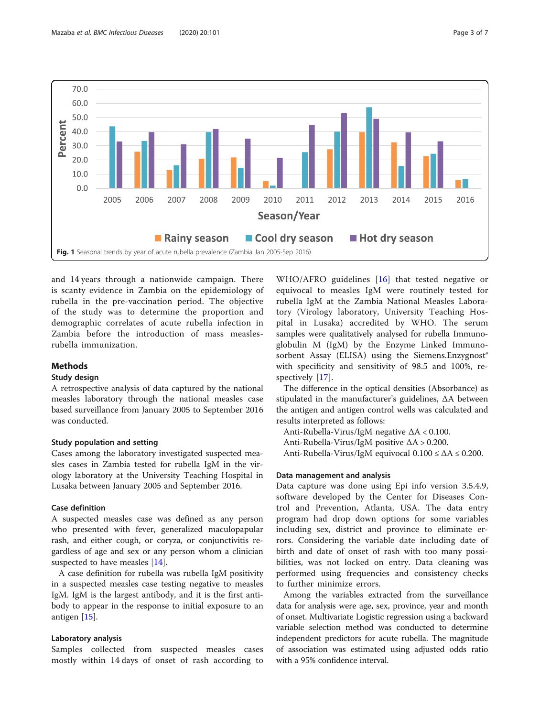<span id="page-2-0"></span>

and 14 years through a nationwide campaign. There is scanty evidence in Zambia on the epidemiology of rubella in the pre-vaccination period. The objective of the study was to determine the proportion and demographic correlates of acute rubella infection in Zambia before the introduction of mass measlesrubella immunization.

# Methods

# Study design

A retrospective analysis of data captured by the national measles laboratory through the national measles case based surveillance from January 2005 to September 2016 was conducted.

### Study population and setting

Cases among the laboratory investigated suspected measles cases in Zambia tested for rubella IgM in the virology laboratory at the University Teaching Hospital in Lusaka between January 2005 and September 2016.

## Case definition

A suspected measles case was defined as any person who presented with fever, generalized maculopapular rash, and either cough, or coryza, or conjunctivitis regardless of age and sex or any person whom a clinician suspected to have measles [[14](#page-6-0)].

A case definition for rubella was rubella IgM positivity in a suspected measles case testing negative to measles IgM. IgM is the largest antibody, and it is the first antibody to appear in the response to initial exposure to an antigen [[15\]](#page-6-0).

# Laboratory analysis

Samples collected from suspected measles cases mostly within 14 days of onset of rash according to

WHO/AFRO guidelines [\[16](#page-6-0)] that tested negative or equivocal to measles IgM were routinely tested for rubella IgM at the Zambia National Measles Laboratory (Virology laboratory, University Teaching Hospital in Lusaka) accredited by WHO. The serum samples were qualitatively analysed for rubella Immunoglobulin M (IgM) by the Enzyme Linked Immunosorbent Assay (ELISA) using the Siemens.Enzygnost® with specificity and sensitivity of 98.5 and 100%, respectively [\[17](#page-6-0)].

The difference in the optical densities (Absorbance) as stipulated in the manufacturer's guidelines, ΔA between the antigen and antigen control wells was calculated and results interpreted as follows:

Anti-Rubella-Virus/IgM negative ΔA < 0.100.

Anti-Rubella-Virus/IgM positive ΔA > 0.200.

Anti-Rubella-Virus/IgM equivocal 0.100 ≤ ΔA ≤ 0.200.

### Data management and analysis

Data capture was done using Epi info version 3.5.4.9, software developed by the Center for Diseases Control and Prevention, Atlanta, USA. The data entry program had drop down options for some variables including sex, district and province to eliminate errors. Considering the variable date including date of birth and date of onset of rash with too many possibilities, was not locked on entry. Data cleaning was performed using frequencies and consistency checks to further minimize errors.

Among the variables extracted from the surveillance data for analysis were age, sex, province, year and month of onset. Multivariate Logistic regression using a backward variable selection method was conducted to determine independent predictors for acute rubella. The magnitude of association was estimated using adjusted odds ratio with a 95% confidence interval.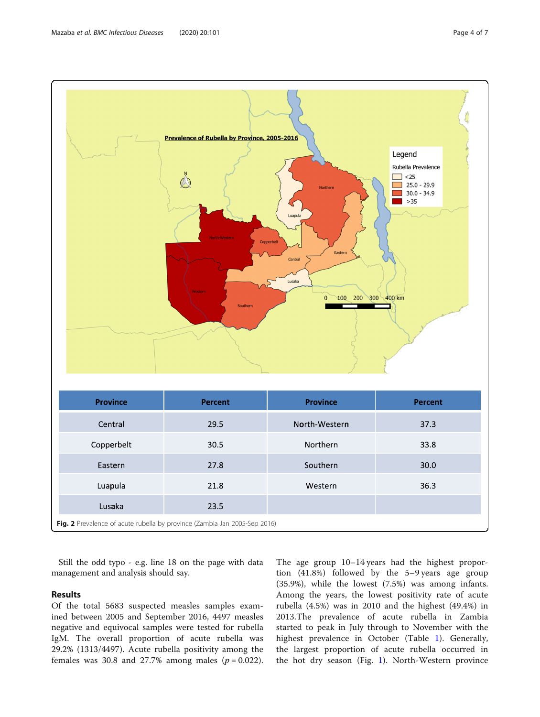<span id="page-3-0"></span>![](_page_3_Figure_2.jpeg)

Still the odd typo - e.g. line 18 on the page with data management and analysis should say.

# Results

Of the total 5683 suspected measles samples examined between 2005 and September 2016, 4497 measles negative and equivocal samples were tested for rubella IgM. The overall proportion of acute rubella was 29.2% (1313/4497). Acute rubella positivity among the females was 30.8 and 27.7% among males ( $p = 0.022$ ).

The age group 10–14 years had the highest proportion (41.8%) followed by the 5–9 years age group (35.9%), while the lowest (7.5%) was among infants. Among the years, the lowest positivity rate of acute rubella (4.5%) was in 2010 and the highest (49.4%) in 2013.The prevalence of acute rubella in Zambia started to peak in July through to November with the highest prevalence in October (Table [1\)](#page-1-0). Generally, the largest proportion of acute rubella occurred in the hot dry season (Fig. [1](#page-2-0)). North-Western province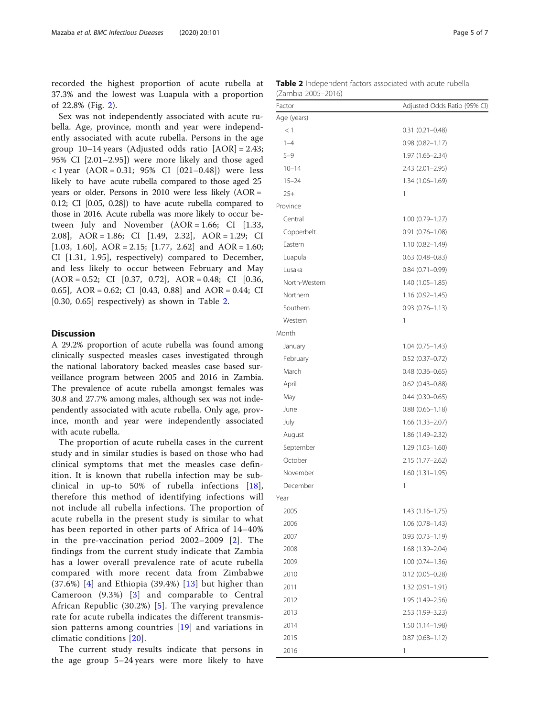recorded the highest proportion of acute rubella at 37.3% and the lowest was Luapula with a proportion of 22.8% (Fig. [2\)](#page-3-0).

Sex was not independently associated with acute rubella. Age, province, month and year were independently associated with acute rubella. Persons in the age group  $10-14$  years (Adjusted odds ratio  $[AOR] = 2.43$ ; 95% CI [2.01–2.95]) were more likely and those aged  $\langle$  1 year (AOR = 0.31; 95% CI [021–0.48]) were less likely to have acute rubella compared to those aged 25 years or older. Persons in 2010 were less likely (AOR = 0.12; CI [0.05, 0.28]) to have acute rubella compared to those in 2016. Acute rubella was more likely to occur between July and November (AOR = 1.66; CI [1.33, 2.08], AOR = 1.86; CI [1.49, 2.32], AOR = 1.29; CI [1.03, 1.60],  $AOR = 2.15$ ; [1.77, 2.62] and  $AOR = 1.60$ ; CI [1.31, 1.95], respectively) compared to December, and less likely to occur between February and May  $(AOR = 0.52; CI [0.37, 0.72], AOR = 0.48; CI [0.36,$ 0.65], AOR = 0.62; CI [0.43, 0.88] and AOR = 0.44; CI [0.30, 0.65] respectively) as shown in Table 2.

### **Discussion**

A 29.2% proportion of acute rubella was found among clinically suspected measles cases investigated through the national laboratory backed measles case based surveillance program between 2005 and 2016 in Zambia. The prevalence of acute rubella amongst females was 30.8 and 27.7% among males, although sex was not independently associated with acute rubella. Only age, province, month and year were independently associated with acute rubella.

The proportion of acute rubella cases in the current study and in similar studies is based on those who had clinical symptoms that met the measles case definition. It is known that rubella infection may be subclinical in up-to 50% of rubella infections [[18](#page-6-0)], therefore this method of identifying infections will not include all rubella infections. The proportion of acute rubella in the present study is similar to what has been reported in other parts of Africa of 14–40% in the pre-vaccination period 2002–2009 [\[2\]](#page-6-0). The findings from the current study indicate that Zambia has a lower overall prevalence rate of acute rubella compared with more recent data from Zimbabwe  $(37.6%)$  [\[4\]](#page-6-0) and Ethiopia  $(39.4%)$  [[13\]](#page-6-0) but higher than Cameroon (9.3%) [\[3\]](#page-6-0) and comparable to Central African Republic (30.2%) [[5\]](#page-6-0). The varying prevalence rate for acute rubella indicates the different transmission patterns among countries [[19\]](#page-6-0) and variations in climatic conditions [\[20\]](#page-6-0).

The current study results indicate that persons in the age group 5–24 years were more likely to have

| Factor        | Adjusted Odds Ratio (95% C |
|---------------|----------------------------|
| Age (years)   |                            |
| $<$ 1         | $0.31(0.21 - 0.48)$        |
| $1 - 4$       | $0.98(0.82 - 1.17)$        |
| $5 - 9$       | 1.97 (1.66-2.34)           |
| $10 - 14$     | 2.43 (2.01–2.95)           |
| $15 - 24$     | $1.34(1.06 - 1.69)$        |
| $25+$         | 1                          |
| Province      |                            |
| Central       | $1.00(0.79 - 1.27)$        |
| Copperbelt    | $0.91(0.76 - 1.08)$        |
| Eastern       | $1.10(0.82 - 1.49)$        |
| Luapula       | $0.63(0.48 - 0.83)$        |
| Lusaka        | $0.84(0.71 - 0.99)$        |
| North-Western | $1.40(1.05 - 1.85)$        |
| Northern      | $1.16(0.92 - 1.45)$        |
| Southern      | $0.93(0.76 - 1.13)$        |
| Western       | 1                          |
| Month         |                            |
| January       | $1.04(0.75 - 1.43)$        |
| February      | $0.52(0.37-0.72)$          |
| March         | $0.48(0.36 - 0.65)$        |
| April         | $0.62$ (0.43-0.88)         |
| May           | $0.44(0.30-0.65)$          |
| June          | $0.88(0.66 - 1.18)$        |
| July          | $1.66(1.33 - 2.07)$        |
| August        | 1.86 (1.49–2.32)           |
| September     | $1.29(1.03 - 1.60)$        |
| October       | 2.15 (1.77–2.62)           |
| November      | $1.60(1.31-1.95)$          |
| December      | 1                          |
| Year          |                            |
| 2005          | 1.43 (1.16–1.75)           |
| 2006          | $1.06(0.78 - 1.43)$        |
| 2007          | $0.93(0.73 - 1.19)$        |
| 2008          | 1.68 (1.39-2.04)           |
| 2009          | $1.00(0.74 - 1.36)$        |
| 2010          | $0.12(0.05 - 0.28)$        |
| 2011          | $1.32(0.91 - 1.91)$        |
| 2012          | 1.95 (1.49-2.56)           |
| 2013          | 2.53 (1.99-3.23)           |
| 2014          | $1.50(1.14 - 1.98)$        |
| 2015          | $0.87(0.68 - 1.12)$        |
| 2016          | 1                          |

Table 2 Independent factors associated with acute rubella (Zambia 2005–2016)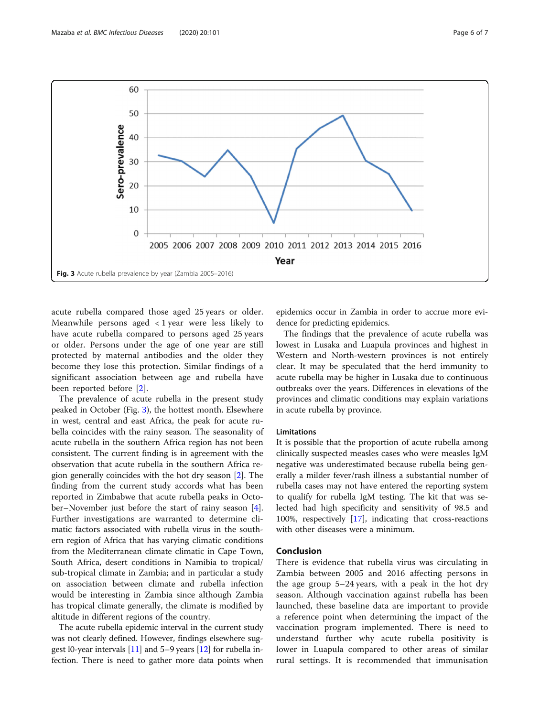![](_page_5_Figure_2.jpeg)

acute rubella compared those aged 25 years or older. Meanwhile persons aged < 1 year were less likely to have acute rubella compared to persons aged 25 years or older. Persons under the age of one year are still protected by maternal antibodies and the older they become they lose this protection. Similar findings of a significant association between age and rubella have been reported before [\[2](#page-6-0)].

The prevalence of acute rubella in the present study peaked in October (Fig. 3), the hottest month. Elsewhere in west, central and east Africa, the peak for acute rubella coincides with the rainy season. The seasonality of acute rubella in the southern Africa region has not been consistent. The current finding is in agreement with the observation that acute rubella in the southern Africa region generally coincides with the hot dry season [[2\]](#page-6-0). The finding from the current study accords what has been reported in Zimbabwe that acute rubella peaks in October–November just before the start of rainy season [\[4](#page-6-0)]. Further investigations are warranted to determine climatic factors associated with rubella virus in the southern region of Africa that has varying climatic conditions from the Mediterranean climate climatic in Cape Town, South Africa, desert conditions in Namibia to tropical/ sub-tropical climate in Zambia; and in particular a study on association between climate and rubella infection would be interesting in Zambia since although Zambia has tropical climate generally, the climate is modified by altitude in different regions of the country.

The acute rubella epidemic interval in the current study was not clearly defined. However, findings elsewhere suggest l0-year intervals  $[11]$  and 5–9 years  $[12]$  for rubella infection. There is need to gather more data points when

epidemics occur in Zambia in order to accrue more evidence for predicting epidemics.

The findings that the prevalence of acute rubella was lowest in Lusaka and Luapula provinces and highest in Western and North-western provinces is not entirely clear. It may be speculated that the herd immunity to acute rubella may be higher in Lusaka due to continuous outbreaks over the years. Differences in elevations of the provinces and climatic conditions may explain variations in acute rubella by province.

#### Limitations

It is possible that the proportion of acute rubella among clinically suspected measles cases who were measles IgM negative was underestimated because rubella being generally a milder fever/rash illness a substantial number of rubella cases may not have entered the reporting system to qualify for rubella IgM testing. The kit that was selected had high specificity and sensitivity of 98.5 and 100%, respectively [[17\]](#page-6-0), indicating that cross-reactions with other diseases were a minimum.

### Conclusion

There is evidence that rubella virus was circulating in Zambia between 2005 and 2016 affecting persons in the age group 5–24 years, with a peak in the hot dry season. Although vaccination against rubella has been launched, these baseline data are important to provide a reference point when determining the impact of the vaccination program implemented. There is need to understand further why acute rubella positivity is lower in Luapula compared to other areas of similar rural settings. It is recommended that immunisation